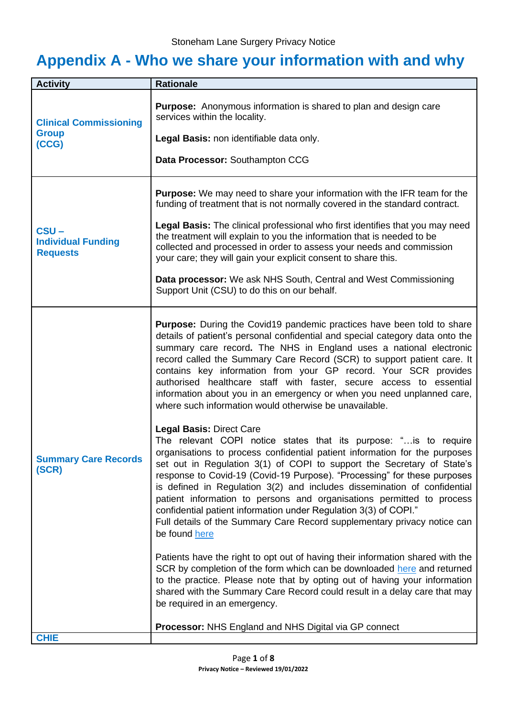## **Appendix A - Who we share your information with and why**

| <b>Activity</b>                                         | <b>Rationale</b>                                                                                                                                                                                                                                                                                                                                                                                                                                                                                                                                                                                                                 |
|---------------------------------------------------------|----------------------------------------------------------------------------------------------------------------------------------------------------------------------------------------------------------------------------------------------------------------------------------------------------------------------------------------------------------------------------------------------------------------------------------------------------------------------------------------------------------------------------------------------------------------------------------------------------------------------------------|
| <b>Clinical Commissioning</b><br><b>Group</b><br>(CCG)  | <b>Purpose:</b> Anonymous information is shared to plan and design care<br>services within the locality.<br>Legal Basis: non identifiable data only.<br>Data Processor: Southampton CCG                                                                                                                                                                                                                                                                                                                                                                                                                                          |
|                                                         |                                                                                                                                                                                                                                                                                                                                                                                                                                                                                                                                                                                                                                  |
| $CSU -$<br><b>Individual Funding</b><br><b>Requests</b> | <b>Purpose:</b> We may need to share your information with the IFR team for the<br>funding of treatment that is not normally covered in the standard contract.<br>Legal Basis: The clinical professional who first identifies that you may need<br>the treatment will explain to you the information that is needed to be<br>collected and processed in order to assess your needs and commission<br>your care; they will gain your explicit consent to share this.<br>Data processor: We ask NHS South, Central and West Commissioning<br>Support Unit (CSU) to do this on our behalf.                                          |
| <b>Summary Care Records</b><br>(SCR)                    | <b>Purpose:</b> During the Covid19 pandemic practices have been told to share<br>details of patient's personal confidential and special category data onto the<br>summary care record. The NHS in England uses a national electronic<br>record called the Summary Care Record (SCR) to support patient care. It<br>contains key information from your GP record. Your SCR provides<br>authorised healthcare staff with faster, secure access to essential<br>information about you in an emergency or when you need unplanned care,<br>where such information would otherwise be unavailable.<br><b>Legal Basis: Direct Care</b> |
|                                                         | The relevant COPI notice states that its purpose: "is to require<br>organisations to process confidential patient information for the purposes<br>set out in Regulation 3(1) of COPI to support the Secretary of State's<br>response to Covid-19 (Covid-19 Purpose). "Processing" for these purposes<br>is defined in Regulation 3(2) and includes dissemination of confidential<br>patient information to persons and organisations permitted to process<br>confidential patient information under Regulation 3(3) of COPI."<br>Full details of the Summary Care Record supplementary privacy notice can<br>be found here       |
|                                                         | Patients have the right to opt out of having their information shared with the<br>SCR by completion of the form which can be downloaded here and returned<br>to the practice. Please note that by opting out of having your information<br>shared with the Summary Care Record could result in a delay care that may<br>be required in an emergency.                                                                                                                                                                                                                                                                             |
| <b>CHIE</b>                                             | Processor: NHS England and NHS Digital via GP connect                                                                                                                                                                                                                                                                                                                                                                                                                                                                                                                                                                            |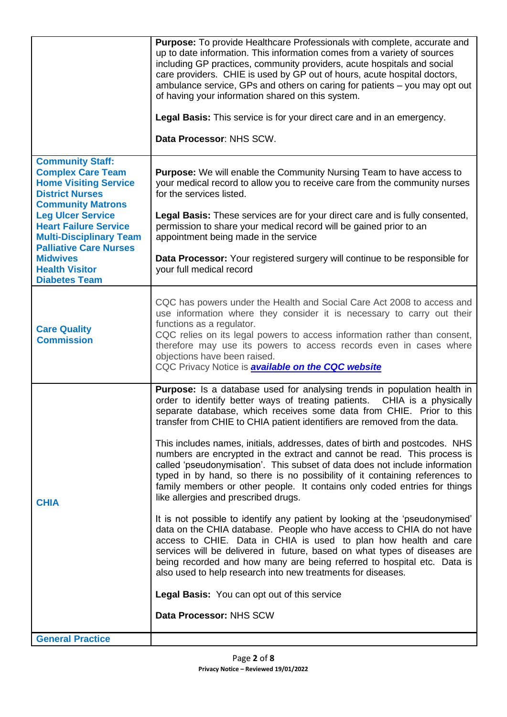|                                                                                                                                                                                                                                                                          | Purpose: To provide Healthcare Professionals with complete, accurate and<br>up to date information. This information comes from a variety of sources<br>including GP practices, community providers, acute hospitals and social<br>care providers. CHIE is used by GP out of hours, acute hospital doctors,<br>ambulance service, GPs and others on caring for patients - you may opt out<br>of having your information shared on this system.<br>Legal Basis: This service is for your direct care and in an emergency.<br>Data Processor: NHS SCW.                                                                                                                                                                                                                                                                                                                                                                                                                                                                                                                                                                                                                                                                                                                                           |
|--------------------------------------------------------------------------------------------------------------------------------------------------------------------------------------------------------------------------------------------------------------------------|------------------------------------------------------------------------------------------------------------------------------------------------------------------------------------------------------------------------------------------------------------------------------------------------------------------------------------------------------------------------------------------------------------------------------------------------------------------------------------------------------------------------------------------------------------------------------------------------------------------------------------------------------------------------------------------------------------------------------------------------------------------------------------------------------------------------------------------------------------------------------------------------------------------------------------------------------------------------------------------------------------------------------------------------------------------------------------------------------------------------------------------------------------------------------------------------------------------------------------------------------------------------------------------------|
| <b>Community Staff:</b><br><b>Complex Care Team</b><br><b>Home Visiting Service</b><br><b>District Nurses</b><br><b>Community Matrons</b><br><b>Leg Ulcer Service</b><br><b>Heart Failure Service</b><br><b>Multi-Disciplinary Team</b><br><b>Palliative Care Nurses</b> | Purpose: We will enable the Community Nursing Team to have access to<br>your medical record to allow you to receive care from the community nurses<br>for the services listed.<br>Legal Basis: These services are for your direct care and is fully consented,<br>permission to share your medical record will be gained prior to an<br>appointment being made in the service                                                                                                                                                                                                                                                                                                                                                                                                                                                                                                                                                                                                                                                                                                                                                                                                                                                                                                                  |
| <b>Midwives</b><br><b>Health Visitor</b><br><b>Diabetes Team</b>                                                                                                                                                                                                         | Data Processor: Your registered surgery will continue to be responsible for<br>your full medical record                                                                                                                                                                                                                                                                                                                                                                                                                                                                                                                                                                                                                                                                                                                                                                                                                                                                                                                                                                                                                                                                                                                                                                                        |
| <b>Care Quality</b><br><b>Commission</b>                                                                                                                                                                                                                                 | CQC has powers under the Health and Social Care Act 2008 to access and<br>use information where they consider it is necessary to carry out their<br>functions as a regulator.<br>CQC relies on its legal powers to access information rather than consent,<br>therefore may use its powers to access records even in cases where<br>objections have been raised.<br>CQC Privacy Notice is <b>available on the CQC website</b>                                                                                                                                                                                                                                                                                                                                                                                                                                                                                                                                                                                                                                                                                                                                                                                                                                                                  |
| <b>CHIA</b>                                                                                                                                                                                                                                                              | <b>Purpose:</b> Is a database used for analysing trends in population health in<br>order to identify better ways of treating patients. CHIA is a physically<br>separate database, which receives some data from CHIE. Prior to this<br>transfer from CHIE to CHIA patient identifiers are removed from the data.<br>This includes names, initials, addresses, dates of birth and postcodes. NHS<br>numbers are encrypted in the extract and cannot be read. This process is<br>called 'pseudonymisation'. This subset of data does not include information<br>typed in by hand, so there is no possibility of it containing references to<br>family members or other people. It contains only coded entries for things<br>like allergies and prescribed drugs.<br>It is not possible to identify any patient by looking at the 'pseudonymised'<br>data on the CHIA database. People who have access to CHIA do not have<br>access to CHIE. Data in CHIA is used to plan how health and care<br>services will be delivered in future, based on what types of diseases are<br>being recorded and how many are being referred to hospital etc. Data is<br>also used to help research into new treatments for diseases.<br>Legal Basis: You can opt out of this service<br>Data Processor: NHS SCW |
| <b>General Practice</b>                                                                                                                                                                                                                                                  |                                                                                                                                                                                                                                                                                                                                                                                                                                                                                                                                                                                                                                                                                                                                                                                                                                                                                                                                                                                                                                                                                                                                                                                                                                                                                                |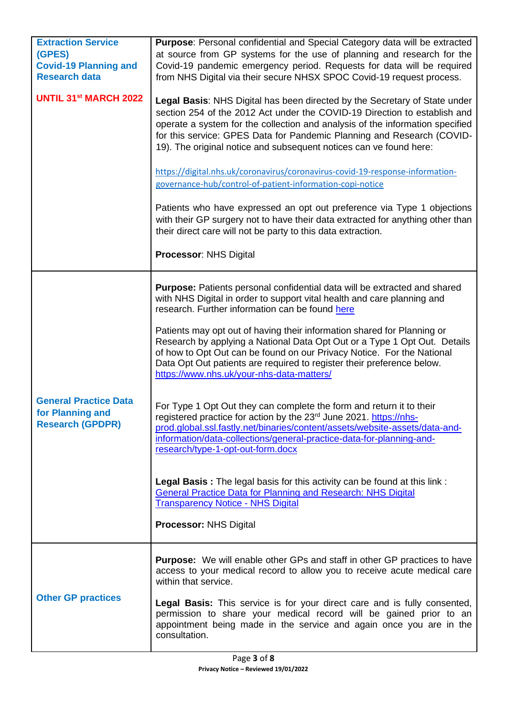| <b>Extraction Service</b><br>(GPES)<br><b>Covid-19 Planning and</b><br><b>Research data</b> | Purpose: Personal confidential and Special Category data will be extracted<br>at source from GP systems for the use of planning and research for the<br>Covid-19 pandemic emergency period. Requests for data will be required<br>from NHS Digital via their secure NHSX SPOC Covid-19 request process.                                                                                                                                                                                                                                                                                                                                                                                                                                                                                                                                                                                  |
|---------------------------------------------------------------------------------------------|------------------------------------------------------------------------------------------------------------------------------------------------------------------------------------------------------------------------------------------------------------------------------------------------------------------------------------------------------------------------------------------------------------------------------------------------------------------------------------------------------------------------------------------------------------------------------------------------------------------------------------------------------------------------------------------------------------------------------------------------------------------------------------------------------------------------------------------------------------------------------------------|
| <b>UNTIL 31st MARCH 2022</b>                                                                | Legal Basis: NHS Digital has been directed by the Secretary of State under<br>section 254 of the 2012 Act under the COVID-19 Direction to establish and<br>operate a system for the collection and analysis of the information specified<br>for this service: GPES Data for Pandemic Planning and Research (COVID-<br>19). The original notice and subsequent notices can ve found here:<br>https://digital.nhs.uk/coronavirus/coronavirus-covid-19-response-information-<br>governance-hub/control-of-patient-information-copi-notice<br>Patients who have expressed an opt out preference via Type 1 objections<br>with their GP surgery not to have their data extracted for anything other than<br>their direct care will not be party to this data extraction.<br><b>Processor: NHS Digital</b>                                                                                     |
| <b>General Practice Data</b><br>for Planning and<br><b>Research (GPDPR)</b>                 | <b>Purpose:</b> Patients personal confidential data will be extracted and shared<br>with NHS Digital in order to support vital health and care planning and<br>research. Further information can be found here<br>Patients may opt out of having their information shared for Planning or<br>Research by applying a National Data Opt Out or a Type 1 Opt Out. Details<br>of how to Opt Out can be found on our Privacy Notice. For the National<br>Data Opt Out patients are required to register their preference below.<br>https://www.nhs.uk/your-nhs-data-matters/<br>For Type 1 Opt Out they can complete the form and return it to their<br>registered practice for action by the 23 <sup>rd</sup> June 2021. https://nhs-<br>prod.global.ssl.fastly.net/binaries/content/assets/website-assets/data-and-<br>information/data-collections/general-practice-data-for-planning-and- |
|                                                                                             | research/type-1-opt-out-form.docx<br>Legal Basis: The legal basis for this activity can be found at this link:<br><b>General Practice Data for Planning and Research: NHS Digital</b><br><b>Transparency Notice - NHS Digital</b><br><b>Processor: NHS Digital</b>                                                                                                                                                                                                                                                                                                                                                                                                                                                                                                                                                                                                                       |
| <b>Other GP practices</b>                                                                   | <b>Purpose:</b> We will enable other GPs and staff in other GP practices to have<br>access to your medical record to allow you to receive acute medical care<br>within that service.<br>Legal Basis: This service is for your direct care and is fully consented,<br>permission to share your medical record will be gained prior to an<br>appointment being made in the service and again once you are in the<br>consultation.                                                                                                                                                                                                                                                                                                                                                                                                                                                          |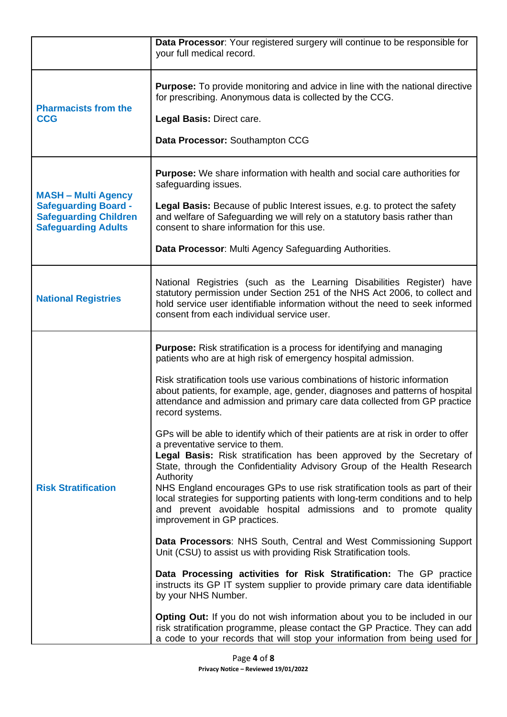|                                                                                                                         | Data Processor: Your registered surgery will continue to be responsible for<br>your full medical record.                                                                                                                                                                                                                                                                                                                                                                                                                                                                                                                                                                                                                                                                                                                                                                                                                                                                                                                                                                                                                                                                                                                                                                                                                                                                                                                                                                                                                                             |
|-------------------------------------------------------------------------------------------------------------------------|------------------------------------------------------------------------------------------------------------------------------------------------------------------------------------------------------------------------------------------------------------------------------------------------------------------------------------------------------------------------------------------------------------------------------------------------------------------------------------------------------------------------------------------------------------------------------------------------------------------------------------------------------------------------------------------------------------------------------------------------------------------------------------------------------------------------------------------------------------------------------------------------------------------------------------------------------------------------------------------------------------------------------------------------------------------------------------------------------------------------------------------------------------------------------------------------------------------------------------------------------------------------------------------------------------------------------------------------------------------------------------------------------------------------------------------------------------------------------------------------------------------------------------------------------|
| <b>Pharmacists from the</b><br><b>CCG</b>                                                                               | <b>Purpose:</b> To provide monitoring and advice in line with the national directive<br>for prescribing. Anonymous data is collected by the CCG.<br>Legal Basis: Direct care.<br>Data Processor: Southampton CCG                                                                                                                                                                                                                                                                                                                                                                                                                                                                                                                                                                                                                                                                                                                                                                                                                                                                                                                                                                                                                                                                                                                                                                                                                                                                                                                                     |
| <b>MASH - Multi Agency</b><br><b>Safeguarding Board -</b><br><b>Safeguarding Children</b><br><b>Safeguarding Adults</b> | <b>Purpose:</b> We share information with health and social care authorities for<br>safeguarding issues.<br>Legal Basis: Because of public Interest issues, e.g. to protect the safety<br>and welfare of Safeguarding we will rely on a statutory basis rather than<br>consent to share information for this use.<br>Data Processor: Multi Agency Safeguarding Authorities.                                                                                                                                                                                                                                                                                                                                                                                                                                                                                                                                                                                                                                                                                                                                                                                                                                                                                                                                                                                                                                                                                                                                                                          |
| <b>National Registries</b>                                                                                              | National Registries (such as the Learning Disabilities Register) have<br>statutory permission under Section 251 of the NHS Act 2006, to collect and<br>hold service user identifiable information without the need to seek informed<br>consent from each individual service user.                                                                                                                                                                                                                                                                                                                                                                                                                                                                                                                                                                                                                                                                                                                                                                                                                                                                                                                                                                                                                                                                                                                                                                                                                                                                    |
| <b>Risk Stratification</b>                                                                                              | <b>Purpose:</b> Risk stratification is a process for identifying and managing<br>patients who are at high risk of emergency hospital admission.<br>Risk stratification tools use various combinations of historic information<br>about patients, for example, age, gender, diagnoses and patterns of hospital<br>attendance and admission and primary care data collected from GP practice<br>record systems.<br>GPs will be able to identify which of their patients are at risk in order to offer<br>a preventative service to them.<br>Legal Basis: Risk stratification has been approved by the Secretary of<br>State, through the Confidentiality Advisory Group of the Health Research<br>Authority<br>NHS England encourages GPs to use risk stratification tools as part of their<br>local strategies for supporting patients with long-term conditions and to help<br>and prevent avoidable hospital admissions and to promote quality<br>improvement in GP practices.<br>Data Processors: NHS South, Central and West Commissioning Support<br>Unit (CSU) to assist us with providing Risk Stratification tools.<br>Data Processing activities for Risk Stratification: The GP practice<br>instructs its GP IT system supplier to provide primary care data identifiable<br>by your NHS Number.<br>Opting Out: If you do not wish information about you to be included in our<br>risk stratification programme, please contact the GP Practice. They can add<br>a code to your records that will stop your information from being used for |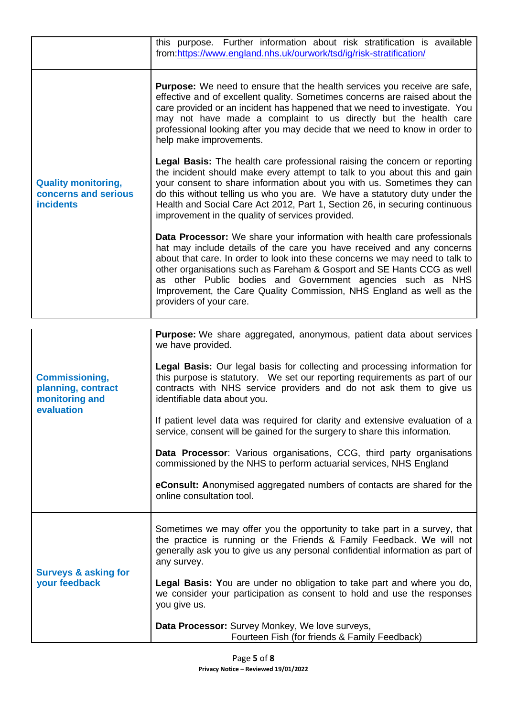|                                                                        | this purpose. Further information about risk stratification is available<br>from:https://www.england.nhs.uk/ourwork/tsd/ig/risk-stratification/                                                                                                                                                                                                                                                                                                                                      |
|------------------------------------------------------------------------|--------------------------------------------------------------------------------------------------------------------------------------------------------------------------------------------------------------------------------------------------------------------------------------------------------------------------------------------------------------------------------------------------------------------------------------------------------------------------------------|
| <b>Quality monitoring,</b><br>concerns and serious<br><b>incidents</b> | <b>Purpose:</b> We need to ensure that the health services you receive are safe,<br>effective and of excellent quality. Sometimes concerns are raised about the<br>care provided or an incident has happened that we need to investigate. You<br>may not have made a complaint to us directly but the health care<br>professional looking after you may decide that we need to know in order to<br>help make improvements.                                                           |
|                                                                        | <b>Legal Basis:</b> The health care professional raising the concern or reporting<br>the incident should make every attempt to talk to you about this and gain<br>your consent to share information about you with us. Sometimes they can<br>do this without telling us who you are. We have a statutory duty under the<br>Health and Social Care Act 2012, Part 1, Section 26, in securing continuous<br>improvement in the quality of services provided.                           |
|                                                                        | <b>Data Processor:</b> We share your information with health care professionals<br>hat may include details of the care you have received and any concerns<br>about that care. In order to look into these concerns we may need to talk to<br>other organisations such as Fareham & Gosport and SE Hants CCG as well<br>as other Public bodies and Government agencies such as NHS<br>Improvement, the Care Quality Commission, NHS England as well as the<br>providers of your care. |

| <b>Commissioning,</b><br>planning, contract<br>monitoring and<br>evaluation | Purpose: We share aggregated, anonymous, patient data about services<br>we have provided.                                                                                                                                                                         |
|-----------------------------------------------------------------------------|-------------------------------------------------------------------------------------------------------------------------------------------------------------------------------------------------------------------------------------------------------------------|
|                                                                             | Legal Basis: Our legal basis for collecting and processing information for<br>this purpose is statutory.  We set our reporting requirements as part of our<br>contracts with NHS service providers and do not ask them to give us<br>identifiable data about you. |
|                                                                             | If patient level data was required for clarity and extensive evaluation of a<br>service, consent will be gained for the surgery to share this information.                                                                                                        |
|                                                                             | <b>Data Processor:</b> Various organisations, CCG, third party organisations<br>commissioned by the NHS to perform actuarial services, NHS England                                                                                                                |
|                                                                             | eConsult: Anonymised aggregated numbers of contacts are shared for the<br>online consultation tool.                                                                                                                                                               |
| <b>Surveys &amp; asking for</b><br>your feedback                            | Sometimes we may offer you the opportunity to take part in a survey, that<br>the practice is running or the Friends & Family Feedback. We will not<br>generally ask you to give us any personal confidential information as part of<br>any survey.                |
|                                                                             | Legal Basis: You are under no obligation to take part and where you do,<br>we consider your participation as consent to hold and use the responses<br>you give us.                                                                                                |
|                                                                             | Data Processor: Survey Monkey, We love surveys,<br>Fourteen Fish (for friends & Family Feedback)                                                                                                                                                                  |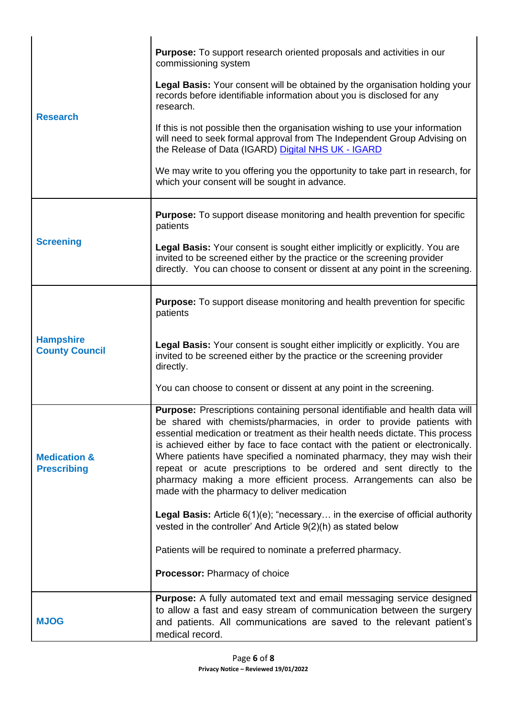| <b>Research</b>                               | <b>Purpose:</b> To support research oriented proposals and activities in our<br>commissioning system                                                                                                                                                                                                                                                                                                                                                                                                                                                                                                     |
|-----------------------------------------------|----------------------------------------------------------------------------------------------------------------------------------------------------------------------------------------------------------------------------------------------------------------------------------------------------------------------------------------------------------------------------------------------------------------------------------------------------------------------------------------------------------------------------------------------------------------------------------------------------------|
|                                               | Legal Basis: Your consent will be obtained by the organisation holding your<br>records before identifiable information about you is disclosed for any<br>research.                                                                                                                                                                                                                                                                                                                                                                                                                                       |
|                                               | If this is not possible then the organisation wishing to use your information<br>will need to seek formal approval from The Independent Group Advising on<br>the Release of Data (IGARD) Digital NHS UK - IGARD                                                                                                                                                                                                                                                                                                                                                                                          |
|                                               | We may write to you offering you the opportunity to take part in research, for<br>which your consent will be sought in advance.                                                                                                                                                                                                                                                                                                                                                                                                                                                                          |
| <b>Screening</b>                              | <b>Purpose:</b> To support disease monitoring and health prevention for specific<br>patients                                                                                                                                                                                                                                                                                                                                                                                                                                                                                                             |
|                                               | Legal Basis: Your consent is sought either implicitly or explicitly. You are<br>invited to be screened either by the practice or the screening provider<br>directly. You can choose to consent or dissent at any point in the screening.                                                                                                                                                                                                                                                                                                                                                                 |
|                                               | <b>Purpose:</b> To support disease monitoring and health prevention for specific<br>patients                                                                                                                                                                                                                                                                                                                                                                                                                                                                                                             |
| <b>Hampshire</b><br><b>County Council</b>     | Legal Basis: Your consent is sought either implicitly or explicitly. You are<br>invited to be screened either by the practice or the screening provider<br>directly.                                                                                                                                                                                                                                                                                                                                                                                                                                     |
|                                               | You can choose to consent or dissent at any point in the screening.                                                                                                                                                                                                                                                                                                                                                                                                                                                                                                                                      |
| <b>Medication &amp;</b><br><b>Prescribing</b> | <b>Purpose:</b> Prescriptions containing personal identifiable and health data will<br>be shared with chemists/pharmacies, in order to provide patients with<br>essential medication or treatment as their health needs dictate. This process<br>is achieved either by face to face contact with the patient or electronically.<br>Where patients have specified a nominated pharmacy, they may wish their<br>repeat or acute prescriptions to be ordered and sent directly to the<br>pharmacy making a more efficient process. Arrangements can also be<br>made with the pharmacy to deliver medication |
|                                               | <b>Legal Basis:</b> Article $6(1)(e)$ ; "necessary in the exercise of official authority<br>vested in the controller' And Article 9(2)(h) as stated below                                                                                                                                                                                                                                                                                                                                                                                                                                                |
|                                               | Patients will be required to nominate a preferred pharmacy.                                                                                                                                                                                                                                                                                                                                                                                                                                                                                                                                              |
|                                               | Processor: Pharmacy of choice                                                                                                                                                                                                                                                                                                                                                                                                                                                                                                                                                                            |
| <b>MJOG</b>                                   | Purpose: A fully automated text and email messaging service designed<br>to allow a fast and easy stream of communication between the surgery<br>and patients. All communications are saved to the relevant patient's<br>medical record.                                                                                                                                                                                                                                                                                                                                                                  |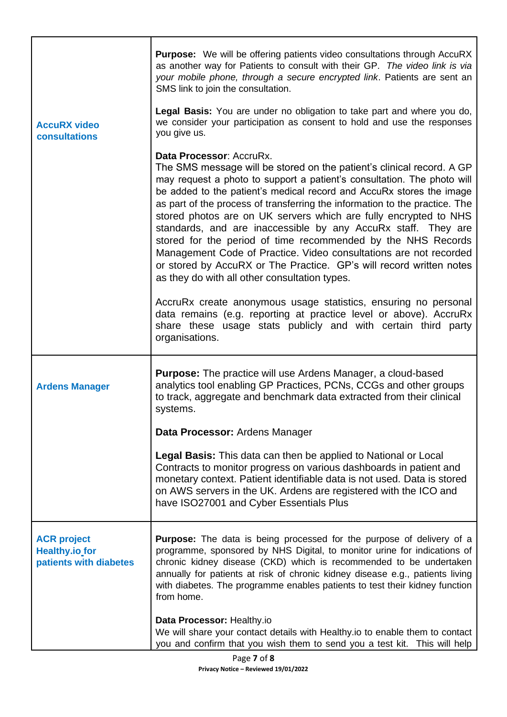|                                                                       | <b>Purpose:</b> We will be offering patients video consultations through AccuRX<br>as another way for Patients to consult with their GP. The video link is via<br>your mobile phone, through a secure encrypted link. Patients are sent an<br>SMS link to join the consultation.                                                                                                                                                                                                                                                                                                                                                                                                                                                      |
|-----------------------------------------------------------------------|---------------------------------------------------------------------------------------------------------------------------------------------------------------------------------------------------------------------------------------------------------------------------------------------------------------------------------------------------------------------------------------------------------------------------------------------------------------------------------------------------------------------------------------------------------------------------------------------------------------------------------------------------------------------------------------------------------------------------------------|
| <b>AccuRX video</b><br>consultations                                  | Legal Basis: You are under no obligation to take part and where you do,<br>we consider your participation as consent to hold and use the responses<br>you give us.                                                                                                                                                                                                                                                                                                                                                                                                                                                                                                                                                                    |
|                                                                       | Data Processor: AccruRx.<br>The SMS message will be stored on the patient's clinical record. A GP<br>may request a photo to support a patient's consultation. The photo will<br>be added to the patient's medical record and AccuRx stores the image<br>as part of the process of transferring the information to the practice. The<br>stored photos are on UK servers which are fully encrypted to NHS<br>standards, and are inaccessible by any AccuRx staff. They are<br>stored for the period of time recommended by the NHS Records<br>Management Code of Practice. Video consultations are not recorded<br>or stored by AccuRX or The Practice. GP's will record written notes<br>as they do with all other consultation types. |
|                                                                       | AccruRx create anonymous usage statistics, ensuring no personal<br>data remains (e.g. reporting at practice level or above). AccruRx<br>share these usage stats publicly and with certain third party<br>organisations.                                                                                                                                                                                                                                                                                                                                                                                                                                                                                                               |
| <b>Ardens Manager</b>                                                 | <b>Purpose:</b> The practice will use Ardens Manager, a cloud-based<br>analytics tool enabling GP Practices, PCNs, CCGs and other groups<br>to track, aggregate and benchmark data extracted from their clinical<br>systems.                                                                                                                                                                                                                                                                                                                                                                                                                                                                                                          |
|                                                                       | Data Processor: Ardens Manager                                                                                                                                                                                                                                                                                                                                                                                                                                                                                                                                                                                                                                                                                                        |
|                                                                       | <b>Legal Basis:</b> This data can then be applied to National or Local<br>Contracts to monitor progress on various dashboards in patient and<br>monetary context. Patient identifiable data is not used. Data is stored<br>on AWS servers in the UK. Ardens are registered with the ICO and<br>have ISO27001 and Cyber Essentials Plus                                                                                                                                                                                                                                                                                                                                                                                                |
| <b>ACR project</b><br><b>Healthy.io for</b><br>patients with diabetes | <b>Purpose:</b> The data is being processed for the purpose of delivery of a<br>programme, sponsored by NHS Digital, to monitor urine for indications of<br>chronic kidney disease (CKD) which is recommended to be undertaken<br>annually for patients at risk of chronic kidney disease e.g., patients living<br>with diabetes. The programme enables patients to test their kidney function<br>from home.                                                                                                                                                                                                                                                                                                                          |
|                                                                       | Data Processor: Healthy.io<br>We will share your contact details with Healthy.io to enable them to contact<br>you and confirm that you wish them to send you a test kit. This will help                                                                                                                                                                                                                                                                                                                                                                                                                                                                                                                                               |